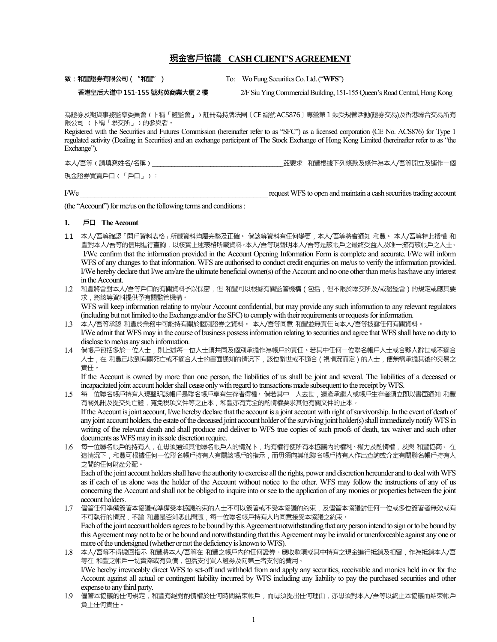# **現金客戶協議 CASH CLIENT'S AGREEMENT**

**致 : 和豐證券有限公司("和豐")** To: Wo Fung Securities Co. Ltd. ("**WFS**")

**香港皇后大道中151-155 號兆英商業大廈 2 樓** 2/F Siu Ying Commercial Building, 151-155 Queen's Road Central, Hong Kong

為證券及期貨事務監察委員會(下稱「證監會」)註冊為持牌法團〔CE 編號ACS876〕專營第 1 類受規管活動(證券交易)及香港聯合交易所有 限公司 (下稱「聯交所」)的參與者。

Registered with the Securities and Futures Commission (hereinafter refer to as "SFC") as a licensed corporation (CE No. ACS876) for Type 1 regulated activity (Dealing in Securities) and an exchange participant of The Stock Exchange of Hong Kong Limited (hereinafter refer to as "the Exchange").

本人/吾等﹙請填寫姓名/名稱﹚\_\_\_\_\_\_\_\_\_\_\_\_\_\_\_\_\_\_\_\_\_\_\_\_\_\_\_\_\_\_\_\_\_\_\_\_\_\_\_\_\_\_\_\_\_\_\_茲要求 和豐根據下列條款及條件為本人/吾等開立及運作一個

現金證券買賣戶口(「戶口」):

I/We **I/We** request WFS to open and maintain a cash securities trading account

(the "Account") for me/us on the following terms and conditions :

#### **1. 戶口 The Account**

- 1.1 本人/吾等確認「開戶資料表格」所載資料均屬完整及正確。 倘該等資料有任何變更,本人/吾等將會通知 和豐。 本人/吾等特此授權 和 豐對本人/吾等的信用進行查詢,以核實上述表格所載資料。本人/吾等現聲明本人/吾等是該帳戶之最終受益人及唯一擁有該帳戶之人士。 I/We confirm that the information provided in the Account Opening Information Form is complete and accurate. I/We will inform WFS of any changes to that information. WFS are authorised to conduct credit enquiries on me/us to verify the information provided. I/We hereby declare that I/we am/are the ultimate beneficial owner(s) of the Account and no one other than me/us has/have any interest in the Account.
- 1.2 和豐將會對本人/吾等戶口的有關資料予以保密,但 和豐可以根據有關監管機構 (包括,但不限於聯交所及/或證監會)的規定或應其要 求,將該等資料提供予有關監管機構。

WFS will keep information relating to my/our Account confidential, but may provide any such information to any relevant regulators (including but not limited to the Exchange and/or the SFC) to comply with their requirements or requests for information.

- 1.3 本人/吾等承認 和豐於業務中可能持有關於個別證券之資料。 本人/吾等同意 和豐並無責任向本人/吾等披露任何有關資料。 I/We admit that WFS may in the course of business possess information relating to securities and agree that WFS shall have no duty to disclose to me/us any such information.
- 1.4 倘帳戶包括多於一位人士,則上述每一位人士須共同及個別承擔作為帳戶的責任。若其中任何一位聯名帳戶人士或合夥人辭世或不適合 人士,在 和豐已收到有關死亡或不適合人士的書面通知的情況下,該位辭世或不適合(視情況而定)的人士,便無需承擔其後的交易之 責任。

If the Account is owned by more than one person, the liabilities of us shall be joint and several. The liabilities of a deceased or incapacitated joint account holder shall cease only with regard to transactions made subsequent to the receipt by WFS.

- 1.5 每一位聯名帳戶持有人現聲明該帳戶是聯名帳戶享有生存者得權。倘若其中一人去世,遺產承繼人或帳戶生存者須立即以書面通知 和豐 有關死訊及提交死亡證,寬免稅項文件等之正本,和豐亦有完全的酌情權要求其他有關文件的正本。 If the Account is joint account, I/we hereby declare that the account is a joint account with right of survivorship. In the event of death of any joint account holders, the estate of the deceased joint account holder of the surviving joint holder(s) shall immediately notify WFS in writing of the relevant death and shall produce and deliver to WFS true copies of such proofs of death, tax waiver and such other documents as WFS may in its sole discretion require.
- 1.6 每一位聯名帳戶的持有人,在毋須通知其他聯名帳戶人的情況下,均有權行使所有本協議內的權利、權力及酌情權,及與 和豐協商。 在 這情況下,和豐可根據任何一位聯名帳戶持有人有關該帳戶的指示,而毋須向其他聯名帳戶持有人作出查詢或介定有關聯名帳戶持有人 之間的任何財產分配。

Each of the joint account holders shall have the authority to exercise all the rights, power and discretion hereunder and to deal with WFS as if each of us alone was the holder of the Account without notice to the other. WFS may follow the instructions of any of us concerning the Account and shall not be obliged to inquire into or see to the application of any monies or properties between the joint account holders.

- 1.7 儘管任何準備簽署本協議或準備受本協議約束的人士不可以簽署或不受本協議的約束,及儘管本協議對任何一位或多位簽署者無效或有 不可執行的情況,不論 和豐是否知悉此問題,每一位聯名帳戶持有人均同意接受本協議之約束。 Each of the joint account holders agrees to be bound by this Agreement notwithstanding that any person intend to sign or to be bound by this Agreement may not to be or be bound and notwithstanding that this Agreement may be invalid or unenforceable against any one or more of the undersigned (whether or not the deficiency is known to WFS).
- 1.8 本人/吾等不得撒回指示 和豐將本人/吾等在 和豐之帳戶內的任何證券、應收款項或其中持有之現金進行抵銷及扣留,作為抵銷本人/吾 等在 和豐之帳戶一切實際或有負債,包括支付買入證券及向第三者支付的費用。 I/We hereby irrevocably direct WFS to set-off and withhold from and apply any securities, receivable and monies held in or for the Account against all actual or contingent liability incurred by WFS including any liability to pay the purchased securities and other expense to any third party.
- 1.9 儘管本協議的任何規定,和豐有絕對酌情權於任何時間結束帳戶,而毋須提出任何理由,亦毋須對本人/吾等以終止本協議而結束帳戶 負上任何責任。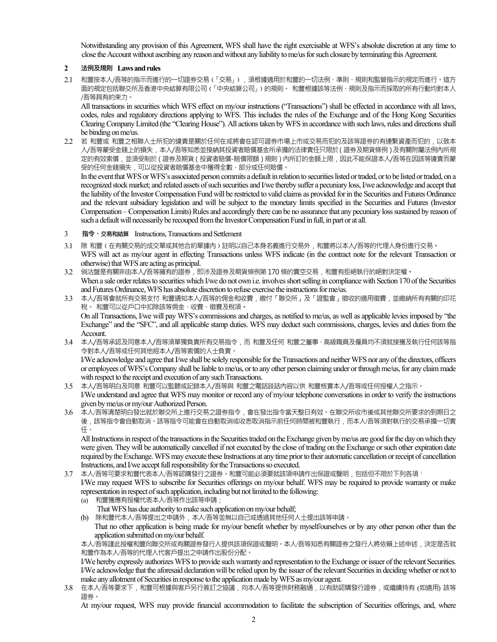Notwithstanding any provision of this Agreement, WFS shall have the right exercisable at WFS's absolute discretion at any time to close the Account without ascribing any reason and without any liability to me/us for such closure by terminating this Agreement.

# **2 法例及規則 Laws and rules**

2.1 和豐按本人/吾等的指示而進行的一切證券交易﹙「交易」﹚,須根據適用於和豐的一切法例、準則、規則和監管指示的規定而進行。這方 面的規定包括聯交所及香港中央結算有限公司(「中央結算公司」)的規則。 和豐根據該等法例、規則及指示而採取的所有行動均對本人 /吾等具有約束力。

All transactions in securities which WFS effect on my/our instructions ("Transactions") shall be effected in accordance with all laws, codes, rules and regulatory directions applying to WFS. This includes the rules of the Exchange and of the Hong Kong Securities Clearing Company Limited (the "Clearing House"). All actions taken by WFS in accordance with such laws, rules and directions shall be binding on me/us.

2.2 若 和豐或 和豐之相聯人士所犯的違責是關於任何在或將會在認可證券市場上市或交易而犯的及該等證券的有連繫資產而犯的,以致本 人/吾等蒙受金錢上的損失,本人/吾等知悉並接納其投資者賠償基金所承擔的法律責任只限於(證券及期貨條例)及有關附屬法例內所規 定的有效索償, 並須受制於(證券及期貨(投資者賠償-賠償限額)規則)內所訂的金額上限, 因此不能保證本人/吾等在因該等違責而蒙 受的任何金錢損失,可以從投資者賠償基金中獲得全數、部分或任何賠償。

In the event that WFS or WFS's associated person commits a default in relation to securities listed or traded, or to be listed or traded, on a recognized stock market; and related assets of such securities and I/we thereby suffer a pecuniary loss, I/we acknowledge and accept that the liability of the Investor Compensation Fund will be restricted to valid claims as provided for in the Securities and Futures Ordinance and the relevant subsidiary legislation and will be subject to the monetary limits specified in the Securities and Futures (Investor Compensation – Compensation Limits) Rules and accordingly there can be no assurance that any pecuniary loss sustained by reason of such a default will necessarily be recouped from the Investor Compensation Fund in full, in part or at all.

- 3 **指令、交易和結算** Instructions, Transactions and Settlement
- 3.1 除 和豐‹在有關交易的成交單或其他合約單據內›註明以自己本身名義進行交易外, 和豐將以本人/吾等的代理人身份進行交易· WFS will act as my/our agent in effecting Transactions unless WFS indicate (in the contract note for the relevant Transaction or otherwise) that WFS are acting as principal.
- 3.2 倘沽盤是有關非由本人/吾等擁有的證券,即涉及證券及期貨條例第 170 條的賣空交易,和豐有拒絕執行的絕對決定權**。** When a sale order relates to securities which I/we do not own i.e. involves short selling in compliance with Section 170 of the Securities and Futures Ordinance, WFS has absolute discretion to refuse exercise the instructions for me/us.
- 3.3 本人/吾等會就所有交易支付和豐通知本人/吾等的佣金和收費,繳付「聯交所」及「證監會」徵收的適用徵費,並繳納所有有關的印花 稅。 和豐可以從戶口中扣除該等佣金、收費、徵費及稅項**。** On all Transactions, I/we will pay WFS's commissions and charges, as notified to me/us, as well as applicable levies imposed by "the Exchange" and the "SFC", and all applicable stamp duties. WFS may deduct such commissions, charges, levies and duties from the Account.
- 3.4 本人/吾等承認及同意本人/吾等須單獨負責所有交易指令,而 和豐及任何 和豐之董事、高級職員及僱員均不須就接獲及執行任何該等指 令對本人/吾等或任何其他經本人/吾等索償的人士負責。

I/We acknowledge and agree that I/we shall be solely responsible for the Transactions and neither WFS nor any of the directors, officers or employees of WFS's Company shall be liable to me/us, or to any other person claiming under or through me/us, for any claim made with respect to the receipt and execution of any such Transactions.

- 3.5 本人/吾等明白及同意 和豐可以監聽或記錄本人/吾等與 和豐之電話談話內容以供 和豐核實本人/吾等或任何授權人之指示。 I/We understand and agree that WFS may monitor or record any of my/our telephone conversations in order to verify the instructions given by me/us or my/our Authorized Person.
- 3.6 本人/吾等清楚明白發出就於聯交所上進行交易之證券指令,會在發出指令當天整日有效。在聯交所收市後或其他聯交所要求的到期日之 後,該等指令會自動取消。該等指令可能會在自動取消或收悉取消指示前任何時間被和豐執行,而本人/吾等須對執行的交易承擔一切責 任。

All Instructions in respect of the transactions in the Securities traded on the Exchange given by me/us are good for the day on which they were given. They will be automatically cancelled if not executed by the close of trading on the Exchange or such other expiration date required by the Exchange. WFS may execute these Instructions at any time prior to their automatic cancellation or receipt of cancellation Instructions, and I/we accept full responsibility for the Transactions so executed.

- 3.7 本人/吾等可要求和豐代表本人/吾等認購發行之證券。和豐可能必須要就該項申請作出保證或聲明,包括但不限於下列各項: I/We may request WFS to subscribe for Securities offerings on my/our behalf. WFS may be required to provide warranty or make representation in respect of such application, including but not limited to the following:
	- (a) 和豐獲應有授權代表本人/吾等作出該等申請; That WFS has due authority to make such application on my/our behalf;
	- (b) 除和豐代本人/吾等提出之申請外,本人/吾等並無以自己或透過其他任何人士提出該等申請。
	- That no other application is being made for my/our benefit whether by myself/ourselves or by any other person other than the application submitted on my/our behalf.

本人/吾等謹此授權和豐向聯交所或有關證券發行人提供該項保證或聲明。本人/吾等知悉有關證券之發行人將依賴上述申述,決定是否就 和豐作為本人/吾等的代理人代客戶提出之申請作出股份分配。

I/We hereby expressly authorizes WFS to provide such warranty and representation to the Exchange or issuer of the relevant Securities. I/We acknowledge that the aforesaid declaration will be relied upon by the issuer of the relevant Securities in deciding whether or not to make any allotment of Securities in response to the application made by WFS as my/our agent.

3.8 在本人/吾等要求下,和豐可根據與客戶另行簽訂之協議,向本人/吾等提供財務融通,以有助認購發行證券,或繼續持有 (如適用) 該等 證券。

At my/our request, WFS may provide financial accommodation to facilitate the subscription of Securities offerings, and, where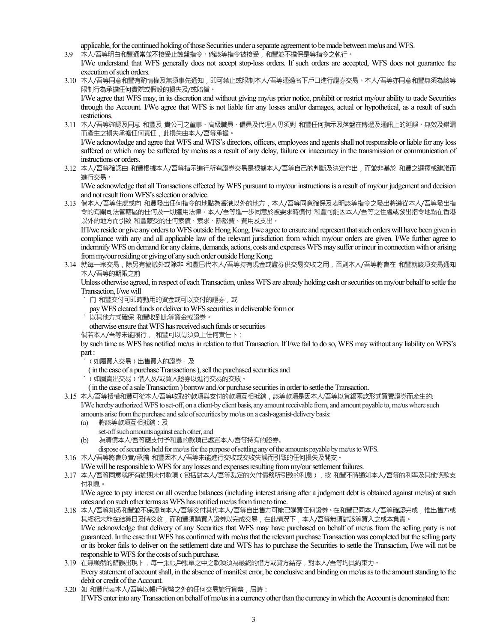applicable, for the continued holding of those Securities under a separate agreement to be made between me/us and WFS. 3.9 本人/吾等明白和豐通常並不接受止蝕盤指令。倘該等指令被接受,和豐並不擔保是等指令之執行。

- I/We understand that WFS generally does not accept stop-loss orders. If such orders are accepted, WFS does not guarantee the execution of such orders.
- 3.10 本人/吾等同意和豐有酌情權及無須事先通知,即可禁止或限制本人/吾等通過名下戶口進行證券交易。本人/吾等亦同意和豐無須為該等 限制行為承擔任何實際或假設的損失及/或賠償。

I/We agree that WFS may, in its discretion and without giving my/us prior notice, prohibit or restrict my/our ability to trade Securities through the Account. I/We agree that WFS is not liable for any losses and/or damages, actual or hypothetical, as a result of such restrictions.

- 3.11 本人/吾等確認及同意 和豐及 貴公司之董事、高級職員、僱員及代理人毋須對 和豐任何指示及落盤在傳遞及通訊上的延誤、無效及錯漏 而產生之損失承擔任何責任,此損失由本人/吾等承擔。 I/We acknowledge and agree that WFS and WFS's directors, officers, employees and agents shall not responsible or liable for any loss suffered or which may be suffered by me/us as a result of any delay, failure or inaccuracy in the transmission or communication of
- instructions or orders. 3.12 本人/吾等確認由 和豐根據本人/吾等指示進行所有證券交易是根據本人/吾等自己的判斷及決定作出,而並非基於 和豐之選擇或建議而 進行交易。

I/We acknowledge that all Transactions effected by WFS pursuant to my/our instructions is a result of my/our judgement and decision and not result from WFS's selection or advice.

3.13 倘本人/吾等住處或向 和豐發出任何指令的地點為香港以外的地方,本人/吾等同意確保及表明該等指令之發出將遵從本人/吾等發出指 令的有關司法管轄區的任何及一切適用法律。本人/吾等進一步同意於被要求時償付 和豐可能因本人/吾等之住處或發出指令地點在香港 以外的地方而引致 和豐蒙受的任何索償、索求、訴訟費、費用及支出。

If I/we reside or give any orders to WFS outside Hong Kong, I/we agree to ensure and represent that such orders will have been given in compliance with any and all applicable law of the relevant jurisdiction from which my/our orders are given. I/We further agree to indemnify WFS on demand for any claims, demands, actions, costs and expenses WFS may suffer or incur in connection with or arising from my/our residing or giving of any such order outside Hong Kong.

3.14 就每一宗交易,除另有協議外或除非 和豐巳代本人/吾等持有現金或證券供交易交收之用,否則本人/吾等將會在 和豐就該項交易通知 本人/吾等的期限之前

Unless otherwise agreed, in respect of each Transaction, unless WFS are already holding cash or securities on my/our behalf to settle the Transaction, I/we will

- **˙** 向 和豐交付可即時動用的資金或可以交付的證券,或
- pay WFS cleared funds or deliver to WFS securities in deliverable form or
- **˙** 以其他方式確保 和豐收到此等資金或證券。

otherwise ensure that WFS has received such funds or securities

倘若本人/吾等未能履行, 和豐可以毋須負上任何責任下 :

by such time as WFS has notified me/us in relation to that Transaction. If I/we fail to do so, WFS may without any liability on WFS's part :

- **˙**﹙如屬買入交易﹚出售買入的證券﹔及
- ( in the case of a purchase Transactions ), sell the purchased securities and
- **˙**﹙如屬賣出交易﹚借入及/或買入證券以進行交易的交收。
- ( in the case of a sale Transaction ) borrow and /or purchase securities in order to settle the Transaction.
- 3.15 本人/吾等授權和豐可從本人/吾等收取的款項與支付的款項互相抵銷,該等款項是因本人/吾等以貨銀兩訖形式買賣證券而產生的: I/We hereby authorized WFS to set-off, on a client-by client basis, any amount receivable from, and amount payable to, me/us where such amounts arise from the purchase and sale of securities by me/us on a cash-aganist-delivery basis:
	-
	- (a) 將該等款項互相抵銷:及
		- set-off such amounts against each other, and
	- (b) 為清償本人/吾等應支付予和豐的款項已處置本人/吾等持有的證券。
		- dispose of securities held for me/us for the purpose of settling any of the amounts payable by me/us to WFS.
- 3.16 本人/吾等將會負責/承擔 和豐因本人/吾等未能進行交收或交收失誤而引致的任何損失及開支。
	- I/We will be responsible to WFS for any losses and expenses resulting from my/our settlement failures.
- 3.17 本人/吾等同意就所有逾期未付款項‹包括對本人/吾等裁定的欠付債務所引致的利息›, 按 和豐不時通知本人/吾等的利率及其他條款支 付利息。

I/We agree to pay interest on all overdue balances (including interest arising after a judgment debt is obtained against me/us) at such rates and on such other terms as WFS has notified me/us from time to time.

- 3.18 本人/吾等知悉和豐並不保證向本人/吾等交付其代本人/吾等自出售方可能已購買任何證券。在和豐已同本人/吾等確認完成,惟出售方或 其經紀未能在結算日及時交收,而和豐須購買入證券以完成交易,在此情況下,本人/吾等無須對該等買入之成本負責。 I/We acknowledge that delivery of any Securities that WFS may have purchased on behalf of me/us from the selling party is not guaranteed. In the case that WFS has confirmed with me/us that the relevant purchase Transaction was completed but the selling party or its broker fails to deliver on the settlement date and WFS has to purchase the Securities to settle the Transaction, I/we will not be responsible to WFS for the costs of such purchase.
- 3.19 在無顯然的錯誤出現下,每一張帳戶賬單之中之款項須為最終的借方或貸方結存,對本人/吾等均具約束力。 Every statement of account shall, in the absence of manifest error, be conclusive and binding on me/us as to the amount standing to the debit or credit of the Account.
- 3.20 如 和豐代表本人/吾等以帳戶貨幣之外的任何交易施行貨幣, 屆時: If WFS enter into any Transaction on behalf of me/us in a currency other than the currency in which the Account is denominated then: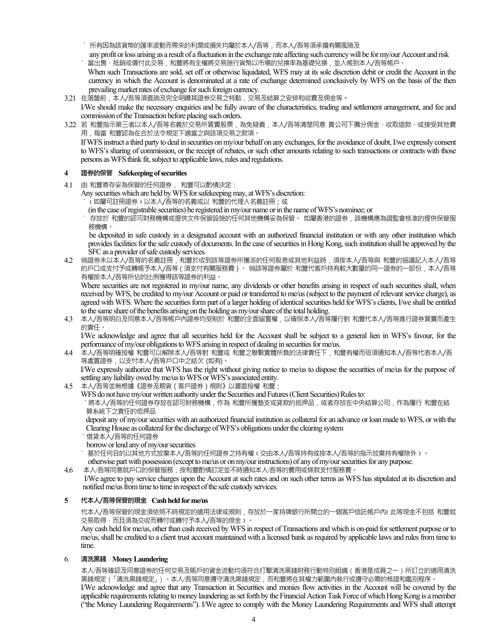**˙** 所有因為該貨幣的匯率波動而帶來的利潤或損失均屬於本人/吾等,而本人/吾等須承擔有關風險及

 any profit or loss arising as a result of a fluctuation in the exchange rate affecting such currency will be for my/our Account and risk **˙** 當出售、抵銷或償付此交易,和豐將有全權將交易施行貨幣以市場的兌換率為基礎兌換,並入帳到本人/吾等帳戶。

 When such Transactions are sold, set off or otherwise liquidated, WFS may at its sole discretion debit or credit the Account in the currency in which the Account is denominated at a rate of exchange determined conclusively by WFS on the basis of the then prevailing market rates of exchange for such foreign currency.

- 3.21 在落盤前,本人/吾等須查詢及完全明暸其證券交易之特點,交易及結算之安排和收費及佣金等**。**
- I/We should make the necessary enquiries and be fully aware of the characteristics, trading and settlement arrangement, and fee and commission of the Transaction before placing such orders.
- 3.22 若 和豐指示第三者以本人/吾等名義於交易所買賣股票,為免疑義,本人/吾等清楚同意 貴公司下攤分佣金、收取退款、或接受其他費 用,每當 和豐認為在合於法令規定下適當之與該項交易之款項。

If WFS instruct a third party to deal in securities on my/our behalf on any exchanges, for the avoidance of doubt, I/we expressly consent to WFS's sharing of commission, or the receipt of rebates, or such other amounts relating to such transactions or contracts with those persons as WFS think fit, subject to applicable laws, rules and regulations.

### **4 證券的保管 Safekeeping of securities**

- 4.1 由 和豐寄存妥為保管的任何證券, 和豐可以酌情決定:
	- Any securities which are held by WFS for safekeeping may, at WFS's discretion:
		- **˙**﹙如屬可註冊證券﹚以本人/吾等的名義或以 和豐的代理人名義註冊;或
		- (in the case of registrable securities) be registered in my/our name or in the name of WFS's nominee; or

˙ 存放於 和豐的認可財務機構或提供文件保管設施的任何其他機構妥為保管。 如屬香港的證券,該機構應為證監會核准的提供保管服 務機構。

 be deposited in safe custody in a designated account with an authorized financial institution or with any other institution which provides facilities for the safe custody of documents. In the case of securities in Hong Kong, such institution shall be approved by the SFC as a provider of safe custody services.

4.2 倘證券未以本人/吾等的名義註冊,和豐於收到該等證券所獲派的任何股息或其他利益時,須按本人/吾等與 和豐的協議記入本人/吾等 的戶口或支付予或轉帳予本人/吾等(須支付有關服務費)。 倘該等證券屬於 和豐代客戶持有較大數量的同一證券的一部份,本人/吾等 有權按本人/吾等所佔的比例獲得該等證券的利益。

Where securities are not registered in my/our name, any dividends or other benefits arising in respect of such securities shall, when received by WFS, be credited to my/our Account or paid or transferred to me/us (subject to the payment of relevant service charge), as agreed with WFS. Where the securities form part of a larger holding of identical securities held for WFS's clients, I/we shall be entitled to the same share of the benefits arising on the holding as my/our share of the total holding.

4.3 本人/吾等明白及同意本人/吾等帳戶內證券均受制於 和豐的全面留置權,以確保本人/吾等履行對 和豐代本人/吾等進行證券買賣而產生 的責任。

I/We acknowledge and agree that all securities held for the Account shall be subject to a general lien in WFS's favour, for the performance of my/our obligations to WFS arising in respect of dealing in securities for me/us.

4.4 本人/吾等明確授權 和豐可以解除本人/吾等對 和豐或 和豐之聯繫實體所負的法律責任下,和豐有權而毋須通知本人/吾等代表本人/吾 等處置證券,以支付本人/吾等戶口中之結欠 (如有)。

I/We expressly authorize that WFS has the right without giving notice to me/us to dispose the securities of me/us for the purpose of settling any liability owed by me/us to WFS or WFS's associated entity.

- 4.5 本人/吾等並無根據《證券及期貨(客戶證券)規則》以書面授權 和豐:
	- WFS do not have my/our written authority under the Securities and Futures (Client Securities) Rules to:

 **˙**將本人/吾等的任何證券存放在認可財務機構,作為 和豐所獲墊支或貸款的抵押品,或者存放在中央結算公司,作為履行 和豐在結 算系統下之責任的低押品

deposit any of my/our securities with an authorized financial institution as collateral for an advance or loan made to WFS, or with the Clearing House as collateral for the discharge of WFS's obligations under the clearing system

**˙**借貸本人/吾等的任何證券

borrow or lend any of my/our securities

**˙** 基於任何目的以其他方式放棄本人/吾等的任何證券之持有權﹙交由本人/吾等持有或按本人/吾等的指示放棄持有權除外﹚。

otherwise part with possession (except to me/us or on my/our instructions) of any of my/our securities for any purpose.

4.6 本人/吾等同意就戶口的保管服務,按和豐酌情訂定並不時通知本人/吾等的費用或條款支付服務費。

 I/We agree to pay service charges upon the Account at such rates and on such other terms as WFS has stipulated at its discretion and notified me/us from time to time in respect of the safe custody services.

# **5 代本人/吾等保管的現金 Cash held for me/us**

代本人/吾等保管的現金須依照不時規定的適用法律或規則,存放於一家持牌銀行所開立的一個客戶信託帳戶內﹙此等現金不包括 和豐就 交易取得,而且須為交收而轉付或轉付予本人/吾等的現金)。

Any cash held for me/us, other than cash received by WFS in respect of Transactions and which is on-paid for settlement purpose or to me/us, shall be credited to a client trust account maintained with a licensed bank as required by applicable laws and rules from time to time.

# 6. **清洗黑錢 Money Laundering**

本人/吾等確認及同意證券的任何交易及賬戶的資金流動均須符合打擊清洗黑錢財務行動特別組織(香港是成員之一)所訂立的適用清洗 黑錢規定(「清洗黑錢規定」)。本人/吾等同意遵守清洗黑錢規定,而和豐將在其權力範圍內執行或遵守必需的核證和鑑別程序。

I/We acknowledge and agree that any Transaction in Securities and monies flow activities in the Account will be covered by the applicable requirements relating to money laundering as set forth by the Financial Action Task Force of which Hong Kong is a member ("the Money Laundering Requirements"). I/We agree to comply with the Money Laundering Requirements and WFS shall attempt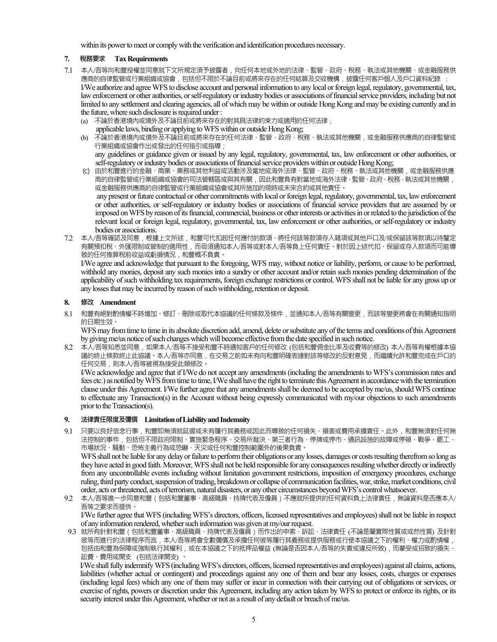within its power to meet or comply with the verification and identification procedures necessary.

### **7. 稅務要求 Tax Requirements**

- 7.1 本人/吾等向和豐授權並同意就下文所規定須予披露者,向任何本地或外地的法律、監管、政府、稅務、執法或其他機關、或金融服務供 應商的自律監管或行業組織或協會,包括但不限於不論目前或將來存在的任何結算及交收機構,披露任何客戶個人及戶口資料紀錄 : I/We authorize and agree WFS to disclose account and personal information to any local or foreign legal, regulatory, governmental, tax, law enforcement or other authorities, or self-regulatory or industry bodies or associations of financial service providers, including but not limited to any settlement and clearing agencies, all of which may be within or outside Hong Kong and may be existing currently and in the future, where such disclosure is required under :
	- (a) 不論於香港境內或境外及不論目前或將來存在的對其具法律約束力或適用的任何法律;
	- applicable laws, binding or applying to WFS within or outside Hong Kong;
	- (b) 不論於香港境內或境外及不論目前或將來存在的任何法律、監管、政府、稅務、執法或其他機關,或金融服務供應商的自律監管或 行業組織或協會作出或發出的任何指引或指導; any guidelines or guidance given or issued by any legal, regulatory, governmental, tax, law enforcement or other authorities, or
	- self-regulatory or industry bodies or associations of financial service providers within or outside Hong Kong; (C) 由於和豐進行的金融、商業、業務或其他利益或活動涉及當地或海外法律、監管、政府、稅務、執法或其他機關,或金融服務供應
	- 商的自律監管或行業組織或協會的司法管轄區或與其有關,因此和豐負有對當地或海外法律、監管、政府、稅務、執法或其他機關, 或金融服務供應商的自律監管或行業組織或協會或其所施加的現時或未來合約或其他責任。 any present or future contractual or other commitments with local or foreign legal, regulatory, governmental, tax, law enforcement or other authorities, or self-regulatory or industry bodies or associations of financial service providers that are assumed by or imposed on WFS by reason of its financial, commercial, business or other interests or activities in or related to the jurisdiction of the relevant local or foreign legal, regulatory, governmental, tax, law enforcement or other authorities, or self-regulatory or industry bodies or associations.
- 7.2 本人/吾等確認及同意,根據上文所述,和豐可代扣起任何應付的款項、將任何該等款項存入雜項或其他戶口及/或保留該等款項以待釐定 有關預扣稅、外匯限制或管制的適用性,而毋須通知本人/吾等或對本人/吾等負上任何責任。對於因上述代扣、保留或存入款項而可能導 致的任何推算稅前收益或虧損情況, 和豐概不負責。

I/We agree and acknowledge that pursuant to the foregoing, WFS may, without notice or liability, perform, or cause to be performed, withhold any monies, deposit any such monies into a sundry or other account and/or retain such monies pending determination of the applicability of such withholding tax requirements, foreign exchange restrictions or control. WFS shall not be liable for any gross up or any losses that may be incurred by reason of such withholding, retention or deposit.

### **8. 修改 Amendment**

8.1 和豐有絕對酌情權不時增加、修訂、刪除或取代本協議的任何條款及條件,並通知本人/吾等有關變更,而該等變更將會在有關通知指明 的日期生效。

WFS may from time to time in its absolute discretion add, amend, delete or substitute any of the terms and conditions of this Agreement by giving me/us notice of such changes which will become effective from the date specified in such notice.

8.2 本人/吾等知悉並同意,如果本人/吾等不接受和豐不時通知客戶的任何修改 (包括和豐佣金比率及收費等的修改) 本人/吾等有權根據本協 議的終止條款終止此協議。本人/吾等亦同意,在交易之前如未有向和豐明確表達對該等修改的反對意見,而繼續允許和豐完成在戶口的 任何交易,則本人/吾等被視為接受此類修改。

I/We acknowledge and agree that if I/We do not accept any amendments (including the amendments to WFS's commission rates and fees etc.) as notified by WFS from time to time, I/We shall have the right to terminate this Agreement in accordance with the termination clause under this Agreement. I/We further agree that any amendments shall be deemed to be accepted by me/us, should WFS continue to effectuate any Transaction(s) in the Account without being expressly communicated with my/our objections to such amendments prior to the Transaction(s).

### **9. 法律責任限度及彌償 Limitation of Liability and Indemnity**

9.1 只要以良好信念行事,和豐即無須就延遲或未有履行其義務或因此而導致的任何損失、損害或費用承擔責任。此外,和豐無須對任何無 法控制的事件,包括但不限政府限制、實施緊急程序、交易所裁決、第三者行為、停牌或停市、通訊設施的故障或停頓、戰爭、罷工、 市場狀況、騷動、恐怖主義行為或恐嚇、天災或任何和豐控制範圍外的後果負責。

WFS shall not be liable for any delay or failure to perform their obligations or any losses, damages or costs resulting therefrom so long as they have acted in good faith. Moreover, WFS shall not be held responsible for any consequences resulting whether directly or indirectly from any uncontrollable events including without limitation government restrictions, imposition of emergency procedures, exchange ruling, third party conduct, suspension of trading, breakdown or collapse of communication facilities, war, strike, market conditions, civil order, acts or threatened, acts of terrorism, natural disasters, or any other circumstances beyond WFS's control whatsoever.

9.2 本人/吾等進一步同意和豐(包括和豐董事、高級職員、持牌代表及僱員)不應就所提供的任何資料負上法律責任,無論資料是否應本人/ 吾等之要求而提供。

I/We further agree that WFS (including WFS's directors, officers, licensed representatives and employees) shall not be liable in respect of any information rendered, whether such information was given at my/our request.

 9.3 就所有針對和豐(包括和豐董事、高級職員、持牌代表及僱員)而作出的申索、訴訟、法律責任 (不論是屬實際性質或或然性質) 及針對 彼等而進行的法律程序而言,本人/吾等將會全數彌償及承擔任何彼等履行其義務或提供服務或行使本協議之下的權利、權力或酌情權, 包括由和豐為保障或強制執行其權利,或在本協議之下的抵押品權益 (無論是否因本人/吾等的失責或違反所致),而蒙受或招致的損失、 訟費、費用或開支 (包括法律開支) 。

I/We shall fully indemnify WFS (including WFS's directors, officers, licensed representatives and employees) against all claims, actions, liabilities (whether actual or contingent) and proceedings against any one of them and bear any losses, costs, charges or expenses (including legal fees) which any one of them may suffer or incur in connection with their carrying out of obligations or services, or exercise of rights, powers or discretion under this Agreement, including any action taken by WFS to protect or enforce its rights, or its security interest under this Agreement, whether or not as a result of any default or breach of me/us.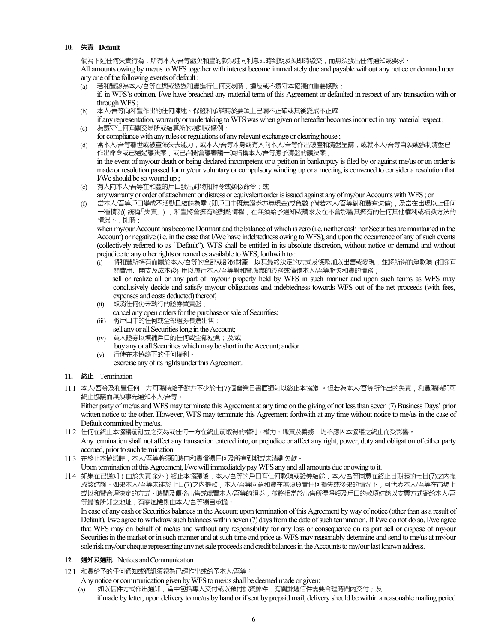### **10. 失責 Default**

倘為下述任何失責行為,所有本人/吾等虧欠和豐的款項連同利息即時到期及須即時繳交,而無須發出任何通知或要求<sup>;</sup> All amounts owing by me/us to WFS together with interest become immediately due and payable without any notice or demand upon any one of the following events of default :

- (a) 若和豐認為本人/吾等在與或透過和豐進行任何交易時,違反或不遵守本協議的重要條款; if, in WFS's opinion, I/we have breached any material term of this Agreement or defaulted in respect of any transaction with or through WFS ;
- (b) 本人/吾等向和豐作出的任何陳述、保證和承諾時於要項上已屬不正確或其後變成不正確;
- if any representation, warranty or undertaking to WFS was when given or hereafter becomes incorrect in any material respect ; (c) 為遵守任何有關交易所或結算所的規則或條例;
- for compliance with any rules or regulations of any relevant exchange or clearing house ;
- (d) 當本人/吾等離世或被宣佈失去能力,或本人/吾等本身或有人向本人/吾等作出破產和清盤呈請,或就本人/吾等自願或強制清盤已 作出命令或已通過議決案,或已召開會議審議一項指稱本人/吾等應予清盤的議決案; in the event of my/our death or being declared incompetent or a petition in bankruptcy is filed by or against me/us or an order is made or resolution passed for my/our voluntary or compulsory winding up or a meeting is convened to consider a resolution that I/We should be so wound up ;
- (e) 有人向本人/吾等在和豐的戶口發出財物扣押令或類似命令;或
- any warranty or order of attachment or distress or equivalent order is issued against any of my/our Accounts with WFS ; or
- (f) 當本人/吾等戶口變成不活動且結餘為零 (即戶口中既無證券亦無現金)或負數 (倘若本人/吾等對和豐有欠債),及當在出現以上任何 一種情況( 統稱「失責」),和豐將會擁有絕對酌情權,在無須給予通知或請求及在不會影響其擁有的任何其他權利或補救方法的 情況下,即時 :

when my/our Account has become Dormant and the balance of which is zero (i.e. neither cash nor Securities are maintained in the Account) or negative (i.e. in the case that I/We have indebtedness owing to WFS), and upon the occurrence of any of such events (collectively referred to as "Default"), WFS shall be entitled in its absolute discretion, without notice or demand and without prejudice to any other rights or remedies available to WFS, forthwith to :

- (i) 將和豐所持有而屬於本人/吾等的全部或部份財產,以其最終決定的方式及條款加以出售或變現,並將所得的淨款項 (扣除有 關費用、開支及成本後) 用以履行本人/吾等對和豐應盡的義務或償還本人/吾等虧欠和豐的債務; sell or realize all or any part of my/our property held by WFS in such manner and upon such terms as WFS may conclusively decide and satisfy my/our obligations and indebtedness towards WFS out of the net proceeds (with fees, expenses and costs deducted) thereof;
- (ii) 取消任何仍未執行的證券買賣盤; cancel any open orders for the purchase or sale of Securities;
- (iii) 將戶口中的任何或全部證券長倉出售; sell any or all Securities long in the Account;
- (iv) 買入證券以填補戶口的任何或全部短倉;及/或
- buy any or all Securities which may be short in the Account; and/or (v) 行使在本協議下的任何權利。
	- exercise any of its rights under this Agreement.
- **11. 終止** Termination
- 11.1 本人/吾等及和豐任何一方可隨時給予對方不少於七(7)個營業日書面通知以終止本協議 。但若為本人/吾等所作出的失責,和豐隨時即可 終止協議而無須事先通知本人/吾等。

Either party of me/us and WFS may terminate this Agreement at any time on the giving of not less than seven (7) Business Days' prior written notice to the other. However, WFS may terminate this Agreement forthwith at any time without notice to me/us in the case of Default committed by me/us.

- 11.2 任何在終止本協議前訂立之交易或任何一方在終止前取得的權利、權力、職責及義務,均不應因本協議之終止而受影響。 Any termination shall not affect any transaction entered into, or prejudice or affect any right, power, duty and obligation of either party accrued, prior to such termination.
- 11.3 在終止本協議時,本人/吾等將須即時向和豐償還任何及所有到期或未清剿欠款。
- Upon termination of this Agreement, I/we will immediately pay WFS any and all amounts due or owing to it.

11.4 如果在已通知 (由於失責除外)終止本協議後,本人/吾等的戶口有任何款項或證券結餘,本人/吾等同意在終止日期起的七日(7)之內提 取該結餘。如果本人/吾等未能於七日(7)之內提款,本人/吾等同意和豐在無須負責任何損失或後果的情況下,可代表本人/吾等在市場上 或以和豐合理決定的方式、時間及價格出售或處置本人/吾等的證券,並將相當於出售所得淨額及戶口的款項結餘以支票方式寄給本人/吾 等最後所知之地址,有關風險則由本人/吾等獨自承擔。

In case of any cash or Securities balances in the Account upon termination of this Agreement by way of notice (other than as a result of Default), I/we agree to withdraw such balances within seven (7) days from the date of such termination. If I/we do not do so, I/we agree that WFS may on behalf of me/us and without any responsibility for any loss or consequence on its part sell or dispose of my/our Securities in the market or in such manner and at such time and price as WFS may reasonably determine and send to me/us at my/our sole risk my/our cheque representing any net sale proceeds and credit balances in the Accounts to my/our last known address.

- **12. 通知及通訊** Notices and Communication
- 12.1 和豐給予的任何通知或通訊須視為已經作出或給予本人/吾等:

Any notice or communication given by WFS to me/us shall be deemed made or given:

(a) 如以信件方式作出通知,當中包括專人交付或以預付郵資郵件,有關郵遞信件需要合理時間內交付;及 if made by letter, upon delivery to me/us by hand or if sent by prepaid mail, delivery should be within a reasonable mailing period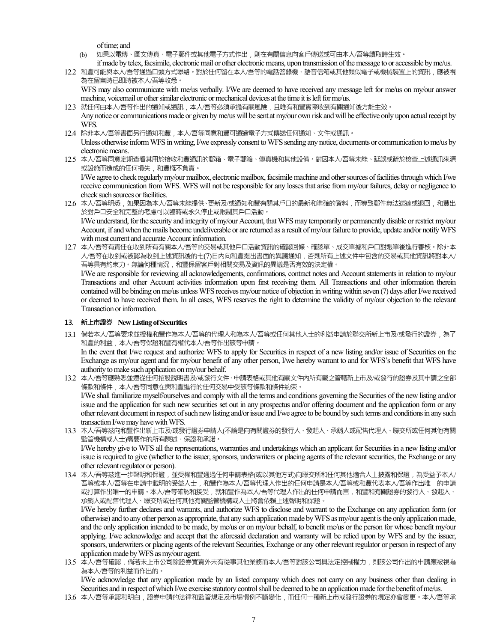of time; and

- (b) 如果以電傳、圖文傳真、電子郵件或其他電子方式作出,則在有關信息向客戶傳送或可由本人/吾等讀取時生效。
- if made by telex, facsimile, electronic mail or other electronic means, upon transmission of the message to or accessible by me/us. 12.2 和豐可能與本人/吾等通過口頭方式聯絡。對於任何留在本人/吾等的電話答錄機、語音信箱或其他類似電子或機械裝置上的資訊,應被視 為在留言時已即時被本人/吾等收悉。

WFS may also communicate with me/us verbally. I/We are deemed to have received any message left for me/us on my/our answer machine, voicemail or other similar electronic or mechanical devices at the time it is left for me/us.

- 12.3 就任何由本人/吾等作出的通知或通訊,本人/吾等必須承擔有關風險,且唯有和豐實際收到有關通知後方能生效。 Any notice or communications made or given by me/us will be sent at my/our own risk and will be effective only upon actual receipt by WFS.
- 12.4 除非本人/吾等書面另行通知和豐,本人/吾等同意和豐可通過電子方式傳送任何通知、文件或通訊。

Unless otherwise inform WFS in writing, I/we expressly consent to WFS sending any notice, documents or communication to me/us by electronic means.

12.5 本人/吾等同意定期查看其用於接收和豐通訊的郵箱、電子郵箱、傳真機和其他設備。對因本人/吾等未能、延誤或疏於檢查上述通訊來源 或設施而造成的任何損失,和豐概不負責。

I/We agree to check regularly my/our mailbox, electronic mailbox, facsimile machine and other sources of facilities through which I/we receive communication from WFS. WFS will not be responsible for any losses that arise from my/our failures, delay or negligence to check such sources or facilities.

- 12.6 本人/吾等明悉,如果因為本人/吾等未能提供、更新及/或通知和豐有關其戶口的最新和準確的資料,而導致郵件無法送達或退回,和豐出 於對戶口安全和完整的考慮可以臨時或永久停止或限制其戶口活動。 I/We understand, for the security and integrity of my/our Account, that WFS may temporarily or permanently disable or restrict my/our Account, if and when the mails become undeliverable or are returned as a result of my/our failure to provide, update and/or notify WFS with most current and accurate Account information.
- 12.7 本人/吾等有責任在收到所有有關本人/吾等的交易或其他戶口活動資訊的確認回條、確認單、成交單據和戶口對賬單後進行審核。除非本 人/吾等在收到或被認為收到上述資訊後的七(7)日內向和豐提出書面的異議通知,否則所有上述文件中包含的交易或其他資訊將對本人/ 吾等具有約束力。無論何種情況﹐和豐保留客戶對相關交易及資訊的異議是否有效的決定權。

I/We are responsible for reviewing all acknowledgements, confirmations, contract notes and Account statements in relation to my/our Transactions and other Account activities information upon first receiving them. All Transactions and other information therein contained will be binding on me/us unless WFS receives my/our notice of objection in writing within seven (7) days after I/we received or deemed to have received them. In all cases, WFS reserves the right to determine the validity of my/our objection to the relevant Transaction or information.

#### **13. 新上市證券 New Listing of Securities**

- 13.1 倘若本人/吾等要求並授權和豐作為本人/吾等的代理人和為本人/吾等或任何其他人士的利益申請於聯交所新上市及/或發行的證券,為了 和豐的利益,本人/吾等保證和豐有權代本人/吾等作出該等申請。 In the event that I/we request and authorize WFS to apply for Securities in respect of a new listing and/or issue of Securities on the Exchange as my/our agent and for my/our benefit of any other person, I/we hereby warrant to and for WFS's benefit that WFS have
- authority to make such application on my/our behalf. 13.2 本人/吾等應熟悉並遵從任何招股說明書及/或發行文件、申請表格或其他有關文件內所有載之管轄新上市及/或發行的證券及其申請之全部 條款和條件,本人/吾等同意在與和豐進行的任何交易中受該等條款和條件約束。 I/We shall familiarize myself/ourselves and comply with all the terms and conditions governing the Securities of the new listing and/or issue and the application for such new securities set out in any prospectus and/or offering document and the application form or any other relevant document in respect of such new listing and/or issue and I/we agree to be bound by such terms and conditions in any such transaction I/we may have with WFS.
- 13.3 本人/吾等茲向和豐作出新上市及/或發行證券申請人(不論是向有關證券的發行人、發起人、承銷人或配售代理人、聯交所或任何其他有關 監管機構或人士)需要作的所有陳述、保證和承諾。

I/We hereby give to WFS all the representations, warranties and undertakings which an applicant for Securities in a new listing and/or issue is required to give (whether to the issuer, sponsors, underwriters or placing agents of the relevant securities, the Exchange or any other relevant regulator or person).

13.4 本人/吾等茲進一步聲明和保證,並受權和豐通過任何申請表格(或以其他方式)向聯交所和任何其他適合人士披露和保證,為受益予本人/ 吾等或本人/吾等在申請中載明的受益人士,和豐作為本人/吾等代理人作出的任何申請是本人/吾等或和豐代表本人/吾等作出唯一的申請 或打算作出唯一的申請。本人/吾等確認和接受,就和豐作為本人/吾等代理人作出的任何申請而言,和豐和有關證券的發行人、發起人、 承銷人或配售代理人、聯交所或任何其他有關監管機構或人士將會依賴上述聲明和保證。

I/We hereby further declares and warrants, and authorize WFS to disclose and warrant to the Exchange on any application form (or otherwise) and to any other person as appropriate, that any such application made by WFS as my/our agent is the only application made, and the only application intended to be made, by me/us or on my/our behalf, to benefit me/us or the person for whose benefit my/our applying. I/we acknowledge and accept that the aforesaid declaration and warranty will be relied upon by WFS and by the issuer, sponsors, underwriters or placing agents of the relevant Securities, Exchange or any other relevant regulator or person in respect of any application made by WFS as my/our agent.

13.5 本人/吾等確認,倘若未上市公司除證券買賣外未有從事其他業務而本人/吾等對該公司具法定控制權力,則該公司作出的申請應被視為 為本人/吾等的利益而作出的。

I/We acknowledge that any application made by an listed company which does not carry on any business other than dealing in Securities and in respect of which I/we exercise statutory control shall be deemed to be an application made for the benefit of me/us.

13.6 本人/吾等承認和明白,證券申請的法律和監管規定及市場慣例不斷變化,而任何一種新上市或發行證券的規定亦會變更。本人/吾等承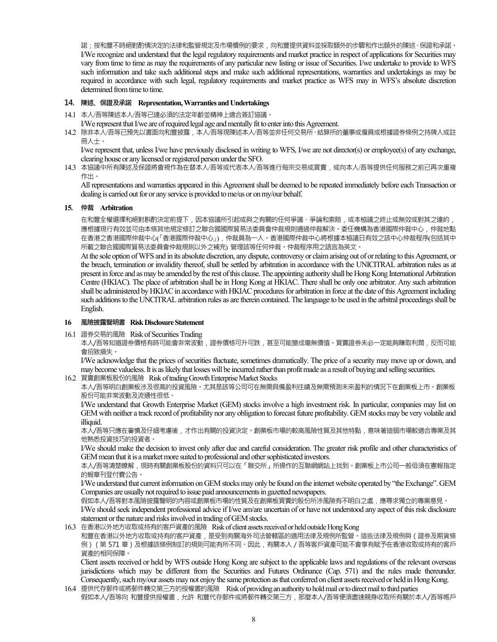諾;按和豐不時絕對酌情決定的法律和監管規定及市場慣例的要求,向和豐提供資料並採取額外的步驟和作出額外的陳述、保證和承諾。 I/We recognize and understand that the legal regulatory requirements and market practice in respect of applications for Securities may vary from time to time as may the requirements of any particular new listing or issue of Securities. I/we undertake to provide to WFS such information and take such additional steps and make such additional representations, warranties and undertakings as may be required in accordance with such legal, regulatory requirements and market practice as WFS may in WFS's absolute discretion determined from time to time.

### **14. 陳述**、**保證及承諾 Representation, Warranties and Undertakings**

14.1 本人/吾等陳述本人/吾等已達必須的法定年齡並精神上適合簽訂協議。

I/We represent that I/we are of required legal age and mentally fit to enter into this Agreement.

14.2 除非本人/吾等已預先以書面向和豐披露,本人/吾等現陳述本人/吾等並非任何交易所、結算所的董事或僱員或根據證券條例之持牌人或註 冊人士。

I/we represent that, unless I/we have previously disclosed in writing to WFS, I/we are not director(s) or employee(s) of any exchange, clearing house or any licensed or registered person under the SFO.

14.3 本協議中所有陳述及保證將會視作為在替本人/吾等或代表本人/吾等進行每宗交易或買賣,或向本人/吾等提供任何服務之前已再次重複 作出。

All representations and warranties appeared in this Agreement shall be deemed to be repeated immediately before each Transaction or dealing is carried out for or any service is provided to me/us or on my/our behalf.

#### **15. 仲裁 Arbitration**

在和豐全權選擇和絕對斟酌決定前提下,因本協議所引起或與之有關的任何爭議、爭論和索賠,或本栛議之終止或無效或對其之違約, 應根據現行有效並可由本條其他規定修訂之聯合國國際貿易法委員會仲裁規則通過仲裁解決。委任機構為香港國際仲裁中心,仲裁地點 在香港之香港國際仲裁中心(「香港國際仲裁中心」),仲裁員為一人。香港國際仲裁中心將根據本栛議日有效之該中心仲裁程序(包括其中 所載之聯合國國際貿易法委員會仲裁規則以外之補充) 管理該等任何仲裁。仲裁程序用之語言為英文。

At the sole option of WFS and in its absolute discretion, any dispute, controversy or claim arising out of or relating to this Agreement, or the breach, termination or invalidity thereof, shall be settled by arbitration in accordance with the UNICITRAL arbitration rules as at present in force and as may be amended by the rest of this clause. The appointing authority shall be Hong Kong International Arbitration Centre (HKIAC). The place of arbitration shall be in Hong Kong at HKIAC. There shall be only one arbitrator. Any such arbitration shall be administered by HKIAC in accordance with HKIAC procedures for arbitration in force at the date of this Agreement including such additions to the UNCITRAL arbitration rules as are therein contained. The language to be used in the arbitral proceedings shall be English.

#### **16 風險披露聲明書 Risk Disclosure Statement**

16.1 證券交易的風險Risk of Securities Trading

本人/吾等知道證券價格有時可能會非常波動,證券價格可升可跌,甚至可能變成毫無價值。買賣證券未必一定能夠賺取利潤,反而可能 會招致損失。

I/We acknowledge that the prices of securities fluctuate, sometimes dramatically. The price of a security may move up or down, and may become valueless. It is as likely that losses will be incurred rather than profit made as a result of buying and selling securities.

16.2 買賣創業板股份的風險Risk of trading Growth Enterprise Market Stocks

本人/吾等明白創業板涉及很高的投資風險。尤其是該等公司可在無需具備盈利往績及無需預測未來盈利的情況下在創業板上市。創業板 股份可能非常波動及流通性很低。

I/We understand that Growth Enterprise Market (GEM) stocks involve a high investment risk. In particular, companies may list on GEM with neither a track record of profitability nor any obligation to forecast future profitability. GEM stocks may be very volatile and illiquid.

本人/吾等只應在審慎及仔細考慮後,才作出有關的投資決定。創業板市場的較高風險性質及其他特點,意味著這個市場較適合專業及其 他熟悉投資技巧的投資者。

I/We should make the decision to invest only after due and careful consideration. The greater risk profile and other characteristics of GEM mean that it is a market more suited to professional and other sophisticated investors.

本人/吾等清楚瞭解,現時有關創業板股份的資料只可以在「聯交所」所操作的互聯網網站上找到。創業板上市公司一般毋須在憲報指定 的報章刊登付費公告。

I/We understand that current information on GEM stocks may only be found on the internet website operated by "the Exchange". GEM Companies are usually not required to issue paid announcements in gazetted newspapers.

假如本人/吾等對本風險披露聲明的內容或創業板市場的性質及在創業板買賣的股份所涉風險有不明白之處,應尋求獨立的專業意見。

I/We should seek independent professional advice if I/we am/are uncertain of or have not understood any aspect of this risk disclosure statement or the nature and risks involved in trading of GEM stocks.

16.3 在香港以外地方收取或持有的客戶資產的風險 Risk of client assets received or held outside Hong Kong

和豐在香港以外地方收取或持有的客戶資產,是受到有關海外司法管轄區的適用法律及規例所監管。這些法律及規例與(證券及期貨條 例) (第 571 章)及根據該條例制訂的規則可能有所不同。因此, 有關本人 / 吾等客戶資產可能不會享有賦予在香港收取或持有的客戶 資產的相同保障。

Client assets received or held by WFS outside Hong Kong are subject to the applicable laws and regulations of the relevant overseas jurisdictions which may be different from the Securities and Futures Ordinance (Cap. 571) and the rules made thereunder. Consequently, such my/our assets may not enjoy the same protection as that conferred on client assets received or held in Hong Kong.

16.4 提供代存郵件或將郵件轉交第三方的授權書的風險 Risk of providing an authority to hold mail or to direct mail to third parties 假如本人/吾等向 和豐提供授權書,允許 和豐代存郵件或將郵件轉交第三方,那麼本人/吾等便須盡速親身收取所有關於本人/吾等帳戶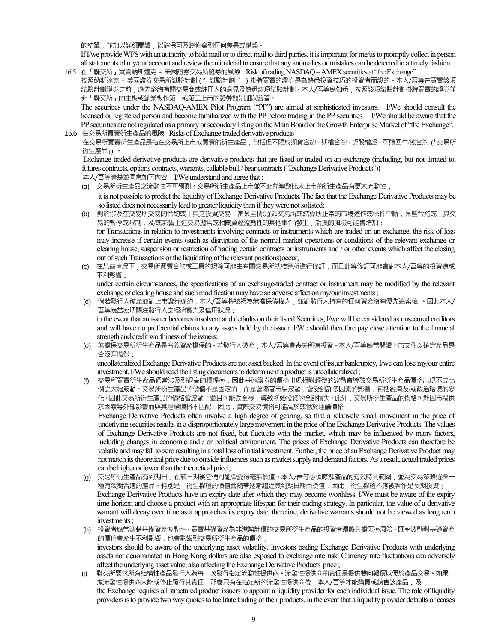的結單,並加以詳細閱讀,以確保可及時偵察到任何差異或錯誤。

If I/we provide WFS with an authority to hold mail or to direct mail to third parties, it is important for me/us to promptly collect in person all statements of my/our account and review them in detail to ensure that any anomalies or mistakes can be detected in a timely fashion.

16.5 在「聯交所」買賣納斯達克 - 美國證券交易所證券的風險 Risk of trading NASDAQ – AMEX securities at "the Exchange" 按照納斯達克 - 美國證券交易所試驗計劃("試驗計劃 ")掛牌買賣的證券是為熟悉投資技巧的投資者而設的。本人/吾等在買賣該項 試驗計劃證券之前,應先諮詢有關交易商或註冊人的意見及熟悉該項試驗計劃。本人/吾等應知悉,按照該項試驗計劃掛牌買賣的證券並 非「聯交所」的主板或創業板作第一或第二上市的證券類別加以監管。

The securities under the NASDAQ-AMEX Pilot Program ("PP") are aimed at sophisticated investors. I/We should consult the licensed or registered person and become familiarized with the PP before trading in the PP securities. I/We should be aware that the PP securities are not regulated as a primary or secondary listing on the Main Board or the Growth Enterprise Market of "the Exchange".

16.6 在交易所買賣衍生產品的風險 Risks of Exchange traded derivative products 在交易所買賣衍生產品是指在交易所上市或買賣的衍生產品,包括但不限於期貨合約、期權合約、認股權證、可贖回牛/熊合約 (「交易所 衍生產品」) 。

 Exchange traded derivative products are derivative products that are listed or traded on an exchange (including, but not limited to, futures contracts, options contracts, warrants, callable bull / bear contracts ("Exchange Derivative Products"))

本人/吾等清楚並同意如下內容: I/We understand and agree that :

- (a) 交易所衍生產品之流動性不可預測。交易所衍生產品上市並不必然導致比未上市的衍生產品有更大流動性 ;
- it is not possible to predict the liquidity of Exchange Derivative Products. The fact that the Exchange Derivative Products may be so listed does not necessarily lead to greater liquidity than if they were not so listed;
- (b) 對於涉及在交易所交易的合約或工具之投資交易,當某些情況(如交易所或結算所正常的市場運作或條件中斷,某些合約或工具交 易的暫停或限制 , 及/或影響上述交易拋售或相關資產流動性的其他事件)發生 , 虧損的風險可能會增加 ; for Transactions in relation to investments involving contracts or instruments which are traded on an exchange, the risk of loss may increase if certain events (such as disruption of the normal market operations or conditions of the relevant exchange or clearing house, suspension or restriction of trading certain contracts or instruments and / or other events which affect the closing out of such Transactions or the liquidating of the relevant positions) occur;
- (c) 在某些情況下,交易所買賣合約或工具的規範可能由有關交易所就結算所進行修訂,而且此等修訂可能會對本人/吾等的投資造成 不利影響 ;

under certain circumstances, the specifications of an exchange-traded contract or instrument may be modified by the relevant exchange or clearing house and such modification may have an adverse affect on my/our investments ;

- (d) 倘若發行人破產並對上市證券違約,本人/吾等將被視為無擔保債權人,並對發行人持有的任何資產沒有優先追索權 。因此本人/ 吾等應當密切關注發行人之經濟實力及信用狀況 ; in the event that an issuer becomes insolvent and defaults on their listed Securities, I/we will be considered as unsecured creditors and will have no preferential claims to any assets held by the issuer. I/We should therefore pay close attention to the financial
- strength and credit worthiness of the issuers; (e) 無擔保交易所衍生產品是名義資產擔保的。若發行人破產,本人/吾等會喪失所有投資。本人/吾等應當閱讀上市文件以確定產品是 否沒有擔保 ;

uncollateralized Exchange Derivative Products are not asset backed. In the event of issuer bankruptcy, I/we can lose my/our entire investment. I/We should read the listing documents to determine if a product is uncollateralized ;

- (f) 交易所買賣衍生產品通常涉及到很高的槓桿率,因此基礎證券的價格出現相對輕微的波動會導致交易所衍生產品價格出現不成比 例之大幅波動。交易所衍生產品的價值不是固定的,而是會隨著市場波動,會受到許多因素的影響,包括經濟及/或政治環境的變 化。因此交易所衍生產品的價格會波動,並且可能跌至零,導致初始投資的全部損失。此外,交易所衍生產品的價格可能因市場供 求因素等外部影響而與其理論價格不匹配。因此,實際交易價格可能高於或低於理論價格 ; Exchange Derivative Products often involve a high degree of gearing, so that a relatively small movement in the price of underlying securities results in a disproportionately large movement in the price of the Exchange Derivative Products. The values of Exchange Derivative Products are not fixed, but fluctuate with the market, which may be influenced by many factors, including changes in economic and / or political environment. The prices of Exchange Derivative Products can therefore be volatile and may fall to zero resulting in a total loss of initial investment. Further, the price of an Exchange Derivative Product may not match its theoretical price due to outside influences such as market supply and demand factors. As a result, actual traded prices
- can be higher or lower than the theoretical price ; (g) 交易所衍生產品有到期日,在該日期後它們可能會變得毫無價值。本人/吾等必須瞭解產品的有效時間範圍,並為交易策略選擇一 種有效期合適的產品。特別是,衍生權證的價值會隨著逐漸趨近其到期日期而貶值,因此,衍生權證不應被看作是長期投資; Exchange Derivative Products have an expiry date after which they may become worthless. I/We must be aware of the expiry time horizon and choose a product with an appropriate lifespan for their trading strategy. In particular, the value of a derivative warrant will decay over time as it approaches its expiry date, therefore, derivative warrants should not be viewed as long term investments ;
- (h) 投資者應當清楚基礎資產波動性。買賣基礎資產為非港幣計價的交易所衍生產品的投資者還將負擔匯率風險。匯率波動對基礎資產 的價值會產生不利影響,也會影響到交易所衍生產品的價格 ; investors should be aware of the underlying asset volatility. Investors trading Exchange Derivative Products with underlying assets not denominated in Hong Kong dollars are also exposed to exchange rate risk. Currency rate fluctuations can adversely affect the underlying asset value, also affecting the Exchange Derivative Products price ;
- (i) 聯交所要求所有結構性產品發行人為每一次發行指定流動性提供商。流動性提供商的責任是提供雙向報價以便於產品交易。如果一 家流動性提供商未能或停止履行其責任,那麼只有在指定新的流動性提供商後,本人/吾等才能購買或銷售該產品;及 the Exchange requires all structured product issuers to appoint a liquidity provider for each individual issue. The role of liquidity providers is to provide two way quotes to facilitate trading of their products. In the event that a liquidity provider defaults or ceases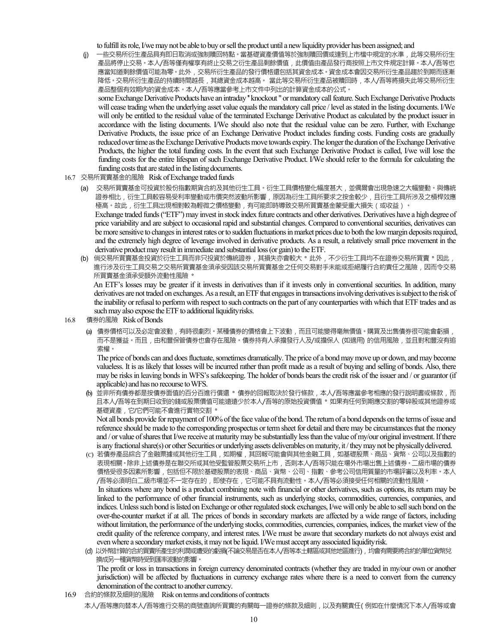to fulfill its role, I/we may not be able to buy or sell the product until a new liquidity provider has been assigned; and

(j) 一些交易所衍生產品具有即日取消或強制贖回特點。當基礎資產價值等於強制贖回價或達到上市檔中規定的水準,此等交易所衍生 產品將停止交易。本人/吾等僅有權享有終止交易之衍生產品剩餘價值,此價值由產品發行商按照上市文件規定計算。本人/吾等也 應當知道剩餘價值可能為零。此外,交易所衍生產品的發行價格還包括其資金成本。資金成本會因交易所衍生產品趨於到期而逐漸 降低。交易所衍生產品的持續時間越長,其總資金成本越高。 當此等交易所衍生產品被贖回時,本人/吾等將損失此等交易所衍生 產品整個有效期內的資金成本。本人/吾等應當參考上市文件中列出的計算資金成本的公式。

some Exchange Derivative Products have an intraday '' knockout " or mandatory call feature. Such Exchange Derivative Products will cease trading when the underlying asset value equals the mandatory call price / level as stated in the listing documents. I/We will only be entitled to the residual value of the terminated Exchange Derivative Product as calculated by the product issuer in accordance with the listing documents. I/We should also note that the residual value can be zero. Further, with Exchange Derivative Products, the issue price of an Exchange Derivative Product includes funding costs. Funding costs are gradually reduced over time as the Exchange Derivative Products move towards expiry. The longer the duration of the Exchange Derivative Products, the higher the total funding costs. In the event that such Exchange Derivative Product is called, I/we will lose the funding costs for the entire lifespan of such Exchange Derivative Product. I/We should refer to the formula for calculating the funding costs that are stated in the listing documents.

- 16.7 交易所買賣基金的風險 Risk of Exchange traded funds
	- (a) 交易所買賣基金可投資於股份指數期貨合約及其他衍生工具。衍生工具價格變化幅度甚大,並偶爾會出現急速之大幅變動。與傳統 證券相比,衍生工具較容易受利率變動或市價突然波動所影響,原因為衍生工具所要求之按金較少,且衍生工具所涉及之槓桿效應 極高。故此,衍生工具出現相對較為輕微之價格變動,有可能即時導致交易所買賣基金蒙受重大損失(或收益)。 Exchange traded funds ("ETF") may invest in stock index future contracts and other derivatives. Derivatives have a high degree of price variability and are subject to occasional rapid and substantial changes. Compared to conventional securities, derivatives can be more sensitive to changes in interest rates or to sudden fluctuations in market prices due to both the low margin deposits required, and the extremely high degree of leverage involved in derivative products. As a result, a relatively small price movement in the derivative product may result in immediate and substantial loss (or gain) to the ETF.
	- (b) 倘交易所買賣基金投資於衍生工具而非只投資於傳統證券,其損失亦會較大。此外,不少衍生工具均不在證券交易所買賣。因此, 進行涉及衍生工具交易之交易所買賣基金之所何交易對手未能或拒絕履行合約責任之風險,因而令交易 所買賣基金須承受額外流動性風險。

 An ETF's losses may be greater if it invests in derivatives than if it invests only in conventional securities. In addition, many derivatives are not traded on exchanges. As a result, an ETF that engages in transactions involving derivatives is subject to the risk of the inability or refusal to perform with respect to such contracts on the part of any counterparties with which that ETF trades and as such may also expose the ETF to additional liquidity risks.

- 16.8 債券的風險 Risk of Bonds
	- (a) 債券價格可以及必定會波動,有時很劇烈。某種債券的價格會上下波動,而且可能變得毫無價值。購買及出售債券很可能會虧損, 而不是獲益。而且,由和豐保管債券也會存在風險。債券持有人承擔發行人及/或擔保人 (如適用) 的信用風險,並且對和豐沒有追 索權。

 The price of bonds can and does fluctuate, sometimes dramatically. The price of a bond may move up or down, and may become valueless. It is as likely that losses will be incurred rather than profit made as a result of buying and selling of bonds. Also, there may be risks in leaving bonds in WFS's safekeeping. The holder of bonds bears the credit risk of the issuer and / or guarantor (if applicable) and has no recourse to WFS.

(b) 並非所有債券都是按債券面值的百分百進行償還。債券的回報取決於發行條款,本人/吾等應當參考相應的發行說明書或條款,而 且本人/吾等在到期日收到的錢或股票價值可能遠遠少於本人/吾等的原始投資價值。如果有任何到期應交割的零碎股或其他證券或 基礎資產,它/它們可能不會進行實物交割。

 Not all bonds provide for repayment of 100% of the face value of the bond. The return of a bond depends on the terms of issue and reference should be made to the corresponding prospectus or term sheet for detail and there may be circumstances that the money and / or value of shares that I/we receive at maturity may be substantially less than the value of my/our original investment. If there is any fractional share(s) or other Securities or underlying assets deliverables on maturity, it / they may not be physically delivered.

- (C) 若債券產品綜合了金融票據或其他衍生工具,如期權,其回報可能會與其他金融工具,如基礎股票、商品、貨幣、公司以及指數的 表現相關。除非上述債券是在聯交所或其他受監管股票交易所上市,否則本人/吾等只能在場外市場出售上述債券。二級市場的債券 價格受很多因素所影響,包括但不限於基礎股票的表現、商品、貨幣、公司、指數、參考公司信用質量的市場評審以及利率。本人 /吾等必須明白二級市場並不一定存在的,即使存在,它可能不具有流動性。本人/吾等必須接受任何相關的流動性風險。 In situations where any bond is a product combining note with financial or other derivatives, such as options, its return may be linked to the performance of other financial instruments, such as underlying stocks, commodities, currencies, companies, and indices. Unless such bond is listed on Exchange or other regulated stock exchanges, I/we will only be able to sell such bond on the over-the-counter market if at all. The prices of bonds in secondary markets are affected by a wide range of factors, including without limitation, the performance of the underlying stocks, commodities, currencies, companies, indices, the market view of the credit quality of the reference company, and interest rates. I/We must be aware that secondary markets do not always exist and even where a secondary market exists, it may not be liquid. I/We must accept any associated liquidity risk.
- (d) 以外幣計算的合約買賣所產生的利潤或遭受的虧損(不論交易是否在本人/吾等本土轄區或其他地區進行), 均會有需要將合約的單位貨幣兌 換成另一種貨幣時受到匯率波動的影響。 The profit or loss in transactions in foreign currency denominated contracts (whether they are traded in my/our own or another jurisdiction) will be affected by fluctuations in currency exchange rates where there is a need to convert from the currency denomination of the contract to another currency.
- 16.9 合約的條款及細則的風險Risk on terms and conditions of contracts 本人/吾等應向替本人/吾等進行交易的商號查詢所買賣的有關每一證券的條款及細則,以及有關責任(例如在什麼情況下本人/吾等或會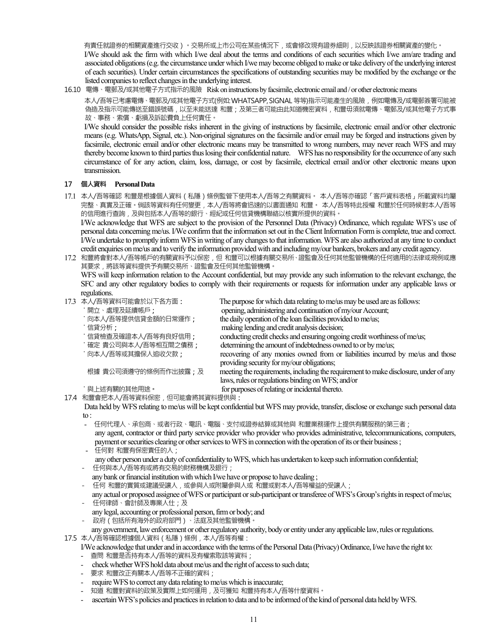有責任就證券的相關資產進行交收)。交易所或上市公司在某些情況下,或會修改現有證券細則,以反映該證券相關資產的變化。 I/We should ask the firm with which I/we deal about the terms and conditions of each securities which I/we am/are trading and associated obligations (e.g. the circumstance under which I/we may become obliged to make or take delivery of the underlying interest of each securities). Under certain circumstances the specifications of outstanding securities may be modified by the exchange or the listed companies to reflect changes in the underlying interest.

16.10 電傳、電郵及/或其他電子方式指示的風險Risk on instructions by facsimile, electronic email and / or other electronic means

本人/吾等已考慮電傳、電郵及/或其他電子方式(例如:WHATSAPP,SIGNAL 等等)指示可能產生的風險,例如電傳及/或電郵簽署可能被 偽造及指示可能傳送至錯誤號碼,以至未能送達 和豐 ; 及第三者可能由此知道機密資料,和豐毋須就電傳、電郵及/或其他電子方式事 故、事務、索償、虧損及訴訟費負上任何責任。

 I/We should consider the possible risks inherent in the giving of instructions by facsimile, electronic email and/or other electronic means (e.g. WhatsApp, Signal, etc.). Non-original signatures on the facsimile and/or email may be forged and instructions given by facsimile, electronic email and/or other electronic means may be transmitted to wrong numbers, may never reach WFS and may thereby become known to third parties thus losing their confidential nature. WFS has no responsibility for the occurrence of any such circumstance of for any action, claim, loss, damage, or cost by facsimile, electrical email and/or other electronic means upon transmission.

#### **17 個人資料 Personal Data**

17.1 本人/吾等確認 和豐是根據個人資料(私隱)條例監管下使用本人/吾等之有關資料。 本人/吾等亦確認「客戶資料表格」所載資料均屬 完整、真實及正確。倘該等資料有任何變更,本人/吾等將會迅速的以書面通知 和豐。 本人/吾等特此授權 和豐於任何時候對本人/吾等 的信用進行查詢,及與包括本人/吾等的銀行、經紀或任何信貸機構聯絡以核實所提供的資料。 I/We acknowledge that WFS are subject to the provision of the Personnel Data (Privacy) Ordinance, which regulate WFS's use of personal data concerning me/us. I/We confirm that the information set out in the Client Information Form is complete, true and correct.

I/We undertake to promptly inform WFS in writing of any changes to that information. WFS are also authorized at any time to conduct credit enquiries on me/us and to verify the information provided with and including my/our bankers, brokers and any credit agency.

17.2 和豐將會對本人/吾等帳戶的有關資料予以保密,但 和豐可以根據有關交易所、證監會及任何其他監管機構的任何適用的法律或規例或應 其要求,將該等資料提供予有關交易所、證監會及任何其他監管機構。

WFS will keep information relation to the Account confidential, but may provide any such information to the relevant exchange, the SFC and any other regulatory bodies to comply with their requirements or requests for information under any applicable laws or regulations.

| 17.3 本人/吾等資料可能會於以下各方面:          | The purpose for which data relating to me/us may be used are as follows:             |
|---------------------------------|--------------------------------------------------------------------------------------|
| 開立、處理及延續帳戶;                     | opening, administering and continuation of my/our Account;                           |
| 向本人/吾等提供信貸金額的日常運作;              | the daily operation of the loan facilities provided to me/us;                        |
| :信貸分析:                          | making lending and credit analysis decision;                                         |
| '信貸檢查及確證本人/吾等有良好信用;             | conducting credit checks and ensuring ongoing credit worthiness of me/us;            |
| '確定 貴公司與本人/吾等相互間之債務;            | determining the amount of indebtedness owned to or by me/us;                         |
| 向本人/吾等或其擔保人追收欠款;                | recovering of any monies owned from or liabilities incurred by me/us and those       |
|                                 | providing security for my/our obligations;                                           |
| 根據 貴公司須遵守的條例而作出披露;及             | meeting the requirements, including the requirement to make disclosure, under of any |
|                                 | laws, rules or regulations binding on WFS; and/or                                    |
| 與上述有關的其他用途。                     | for purposes of relating or incidental thereto.                                      |
| 17.4 和豐會把本人/吾等資料保密,但可能會將其資料提供與: |                                                                                      |

 Data held by WFS relating to me/us will be kept confidential but WFS may provide, transfer, disclose or exchange such personal data to :

- 任何代理人、承包商、或者行政、電訊、電腦、支付或證券結算或其他與 和豐業務運作上提供有關服務的第三者; any agent, contractor or third party service provider who provider who provides administrative, telecommunications, computers, payment or securities clearing or other services to WFS in connection with the operation of its or their business ;
- 任何對 和豐有保密責任的人; any other person under a duty of confidentiality to WFS, which has undertaken to keep such information confidential; - 任何與本人/吾等有或將有交易的財務機構及銀行;
- any bank or financial institution with which I/we have or propose to have dealing ;
- 任何 和豐的實質或建議受讓人,或參與人或附屬參與人或 和豐或對本人/吾等權益的受讓人;
- any actual or proposed assignee of WFS or participant or sub-participant or transferee of WFS's Group's rights in respect of me/us; - 任何律師、會計師及專業人仕;及
- any legal, accounting or professional person, firm or body; and
- 政府(包括所有海外的政府部門)、法庭及其他監管機構。
- any government, law enforcement or other regulatory authority, body or entity under any applicable law, rules or regulations. 17.5 本人/吾等確認根據個人資料(私隱)條例,本人/吾等有權:

I/We acknowledge that under and in accordance with the terms of the Personal Data (Privacy) Ordinance, I/we have the right to:

- 查問 和豐是否持有本人/吾等的資料及有權索取該等資料;
- check whether WFS hold data about me/us and the right of access to such data;
- 要求 和豐改正有關本人/吾等不正確的資料;
- require WFS to correct any data relating to me/us which is inaccurate;
- 知道 和豐對資料的政策及實際上如何運用,及可獲知 和豐持有本人/吾等什麼資料。
- ascertain WFS's policies and practices in relation to data and to be informed of the kind of personal data held by WFS.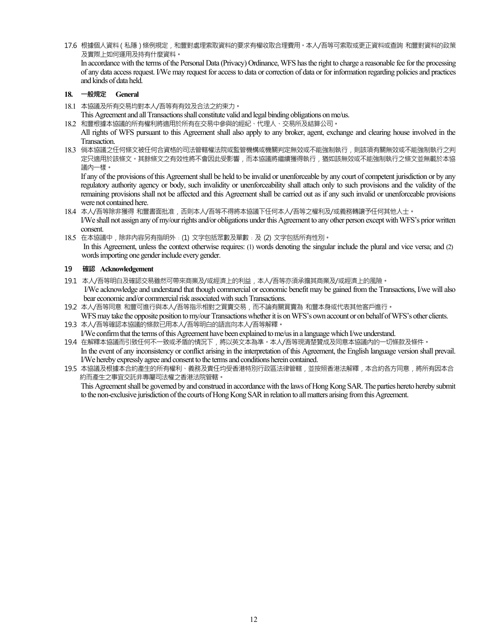17.6 根據個人資料(私隱)條例規定,和豐對處理索取資料的要求有權收取合理費用。本人/吾等可索取或更正資料或查詢 和豐對資料的政策 及實際上如何運用及持有什麼資料**。**  In accordance with the terms of the Personal Data (Privacy) Ordinance, WFS has the right to charge a reasonable fee for the processing of any data access request. I/We may request for access to data or correction of data or for information regarding policies and practices

#### **18. 一般規定 General**

and kinds of data held.

18.1 本協議及所有交易均對本人/吾等有有效及合法之約束力**。**

This Agreement and all Transactions shall constitute valid and legal binding obligations on me/us.

18.2 和豐根據本協議的所有權利將適用於所有在交易中參與的經紀、代理人、交易所及結算公司**。** 

All rights of WFS pursuant to this Agreement shall also apply to any broker, agent, exchange and clearing house involved in the Transaction.

18.3 倘本協議之任何條文被任何合資格的司法管轄權法院或監管機構或機關判定無效或不能強制執行,則該項有關無效或不能強制執行之判 定只適用於該條文。其餘條文之有效性將不會因此受影響,而本協議將繼續獲得執行,猶如該無效或不能強制執行之條文並無載於本協 議內一樣**。**

If any of the provisions of this Agreement shall be held to be invalid or unenforceable by any court of competent jurisdiction or by any regulatory authority agency or body, such invalidity or unenforceability shall attach only to such provisions and the validity of the remaining provisions shall not be affected and this Agreement shall be carried out as if any such invalid or unenforceable provisions were not contained here.

- 18.4 本人/吾等除非獲得 和豐書面批准,否則本人/吾等不得將本協議下任何本人/吾等之權利及/或義務轉讓予任何其他人士**。** I/We shall not assign any of my/our rights and/or obligations under this Agreement to any other person except with WFS's prior written consent.
- 18.5 在本協議中,除非內容另有指明外﹕(1) 文字包括眾數及單數﹔及 (2) 文字包括所有性別**。** In this Agreement, unless the context otherwise requires: (1) words denoting the singular include the plural and vice versa; and (2) words importing one gender include every gender.

#### **19 確認 Acknowledgement**

- 19.1 本人/吾等明白及確認交易雖然可帶來商業及/或經濟上的利益,本人/吾等亦須承擔其商業及/或經濟上的風險**。**  I/We acknowledge and understand that though commercial or economic benefit may be gained from the Transactions, I/we will also
- bear economic and/or commercial risk associated with such Transactions.
- 19.2 本人/吾等同意 和豐可進行與本人/吾等指示相對之買賣交易,而不論有關買賣為 和豐本身或代表其他客戶進行**。**  WFS may take the opposite position to my/our Transactions whether it is on WFS's own account or on behalf of WFS's other clients. 19.3 本人/吾等確認本協議的條款已用本人/吾等明白的語言向本人/吾等解釋**。**
- I/We confirm that the terms of this Agreement have been explained to me/us in a language which I/we understand.
- 19.4 在解釋本協議而引致任何不一致或矛盾的情況下,將以英文本為準。本人/吾等現清楚贊成及同意本協議內的一切條款及條件**。**  In the event of any inconsistency or conflict arising in the interpretation of this Agreement, the English language version shall prevail. I/We hereby expressly agree and consent to the terms and conditions herein contained.
- 19.5 本協議及根據本合約產生的所有權利、義務及責任均受香港特別行政區法律管轄,並按照香港法解釋,本合約各方同意,將所有因本合 約而產生之事宜交託非專屬司法權之香港法院管轄**。**  This Agreement shall be governed by and construed in accordance with the laws of Hong Kong SAR. The parties hereto hereby submit

to the non-exclusive jurisdiction of the courts of Hong Kong SAR in relation to all matters arising from this Agreement.